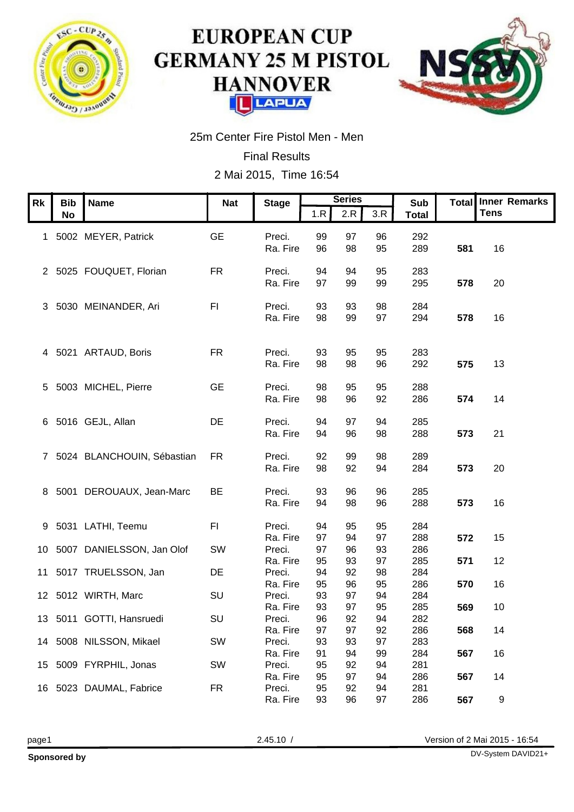

## **EUROPEAN CUP GERMANY 25 M PISTOL HANNOVER LAPUA** ГП



25m Center Fire Pistol Men - Men

Final Results 2 Mai 2015, Time 16:54

| Rk Bib Name                                     | <b>Nat</b> | <b>Stage</b>                                                                                                       |                 | <b>Series</b><br>$1.R$ $2.R$ $3.R$ |                | Sub<br>Total      |               | Total Inner Remarks<br>$ $ Tens |  |
|-------------------------------------------------|------------|--------------------------------------------------------------------------------------------------------------------|-----------------|------------------------------------|----------------|-------------------|---------------|---------------------------------|--|
| 1 5002 MEYER, Patrick                           | GE         | Preci.         99<br>Ra. Fire       96                                                                             |                 | 97<br>98                           | 96<br>95       | 292<br>289        | 581 16        |                                 |  |
| 2 5025 FOUQUET, Florian                         | FR         | Preci.<br>Ra. Fire 97                                                                                              | 94              | 94<br>99                           | 95<br>99       | 283<br>295        | <b>578</b> 20 |                                 |  |
| 3 5030 MEINANDER, Ari                           | F1         | Preci. 93 93<br>Ra. Fire 98 99                                                                                     |                 |                                    | 98<br>97       | 284<br>294        |               |                                 |  |
|                                                 |            |                                                                                                                    |                 |                                    |                |                   | 578 16        |                                 |  |
| 4 5021 ARTAUD, Boris                            | <b>FR</b>  | Preci.<br>Ra. Fire                                                                                                 | 93<br>98        | 95<br>98                           | 95<br>96       | 283<br>292        | 575 13        |                                 |  |
| 5 5003 MICHEL, Pierre                           | <b>GE</b>  | Preci.         98<br>Ra. Fire       98                                                                             |                 | 95<br>96                           | 95<br>92       | 288<br>286        | 574 14        |                                 |  |
| 6 5016 GEJL, Allan                              | DE         | Preci.                                                                                                             | 94              | 97                                 | 94             | 285<br>288        |               |                                 |  |
| 7 5024 BLANCHOUIN, Sébastian FR                 |            | Ra. Fire 94                                                                                                        |                 | 96                                 | 98             |                   | 573 21        |                                 |  |
|                                                 |            | Preci.         92<br>Ra. Fire       98                                                                             |                 | 99<br>92                           | 98<br>94       | 289<br>284        | 573 20        |                                 |  |
| 8 5001 DEROUAUX, Jean-Marc BE                   |            | Preci.         93<br>Ra. Fire       94                                                                             |                 | 96<br>98                           | 96<br>96       | 285<br>288        | 573 16        |                                 |  |
| 9 5031 LATHI, Teemu                             | <b>FI</b>  | Preci.<br>Ra. Fire                                                                                                 | 94<br>97        | 95<br>94                           | 95<br>97       | 284<br>288        | 572 15        |                                 |  |
| 10 5007 DANIELSSON, Jan Olof                    | SW         | Preci.<br>Ra. Fire                                                                                                 | 97<br>95        | 96<br>93                           | 93<br>97       | 286<br>285        | 571 12        |                                 |  |
| 11 5017 TRUELSSON, Jan                          | DE         | Preci.<br>Ra. Fire                                                                                                 | 94<br>95        | 92<br>96                           | 98<br>95       | 284<br>286        | <b>570</b> 16 |                                 |  |
| 12 5012 WIRTH, Marc<br>13 5011 GOTTI, Hansruedi | SU<br>SU   | Preci.<br>Ra. Fire<br>Preci.                                                                                       | -93<br>93<br>96 | 97<br>97<br>92                     | 94<br>95<br>94 | 284<br>285<br>282 | 569 10        |                                 |  |
| 14 5008 NILSSON, Mikael                         | SW         | Ra. Fire                                                                                                           | 97              | 97                                 | 92<br>97       | 286<br>283        | 568           | 14                              |  |
| 15 5009 FYRPHIL, Jonas                          | SW         |                                                                                                                    |                 |                                    |                | 284<br>281<br>286 | 567           | 16                              |  |
| 16 5023 DAUMAL, Fabrice                         | <b>FR</b>  | Preci. 93 93 97<br>Preci. 93 93 97<br>Preci. 95 92 94<br>Ra. Fire 95 97 94<br>Preci. 95 92 94<br>Ra. Fire 93 96 97 |                 |                                    |                | 281<br>286        | 567<br>567    | 14<br>- 9                       |  |